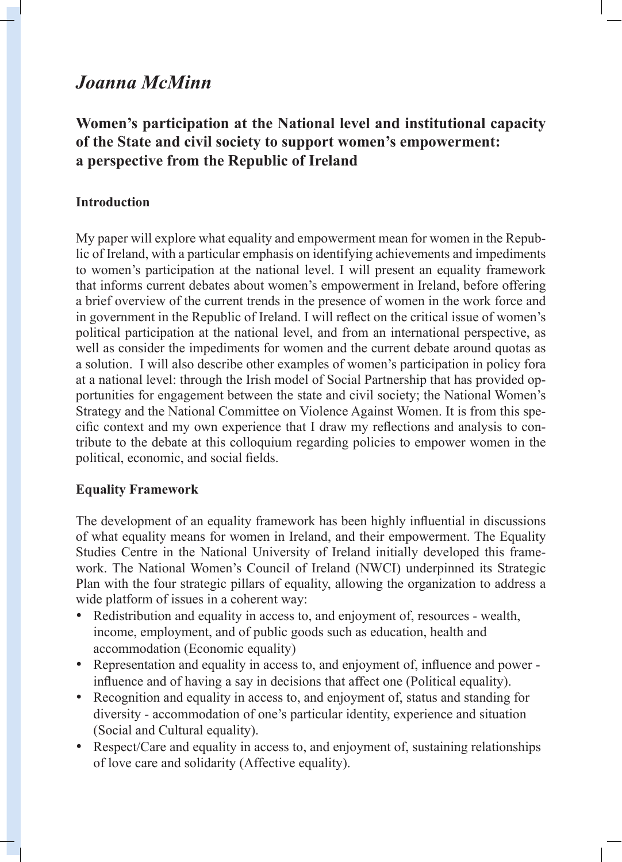# *Joanna McMinn*

## **Women's participation at the National level and institutional capacity of the State and civil society to support women's empowerment: a perspective from the Republic of Ireland**

## **Introduction**

My paper will explore what equality and empowerment mean for women in the Republic of Ireland, with a particular emphasis on identifying achievements and impediments to women's participation at the national level. I will present an equality framework that informs current debates about women's empowerment in Ireland, before offering a brief overview of the current trends in the presence of women in the work force and in government in the Republic of Ireland. I will reflect on the critical issue of women's political participation at the national level, and from an international perspective, as well as consider the impediments for women and the current debate around quotas as a solution. I will also describe other examples of women's participation in policy fora at a national level: through the Irish model of Social Partnership that has provided opportunities for engagement between the state and civil society; the National Women's Strategy and the National Committee on Violence Against Women. It is from this specific context and my own experience that I draw my reflections and analysis to contribute to the debate at this colloquium regarding policies to empower women in the political, economic, and social fields.

## **Equality Framework**

The development of an equality framework has been highly influential in discussions of what equality means for women in Ireland, and their empowerment. The Equality Studies Centre in the National University of Ireland initially developed this framework. The National Women's Council of Ireland (NWCI) underpinned its Strategic Plan with the four strategic pillars of equality, allowing the organization to address a wide platform of issues in a coherent way:

- Redistribution and equality in access to, and enjoyment of, resources wealth, income, employment, and of public goods such as education, health and accommodation (Economic equality)
- Representation and equality in access to, and enjoyment of, influence and power influence and of having a say in decisions that affect one (Political equality).
- Recognition and equality in access to, and enjoyment of, status and standing for diversity - accommodation of one's particular identity, experience and situation (Social and Cultural equality).
- Respect/Care and equality in access to, and enjoyment of, sustaining relationships of love care and solidarity (Affective equality).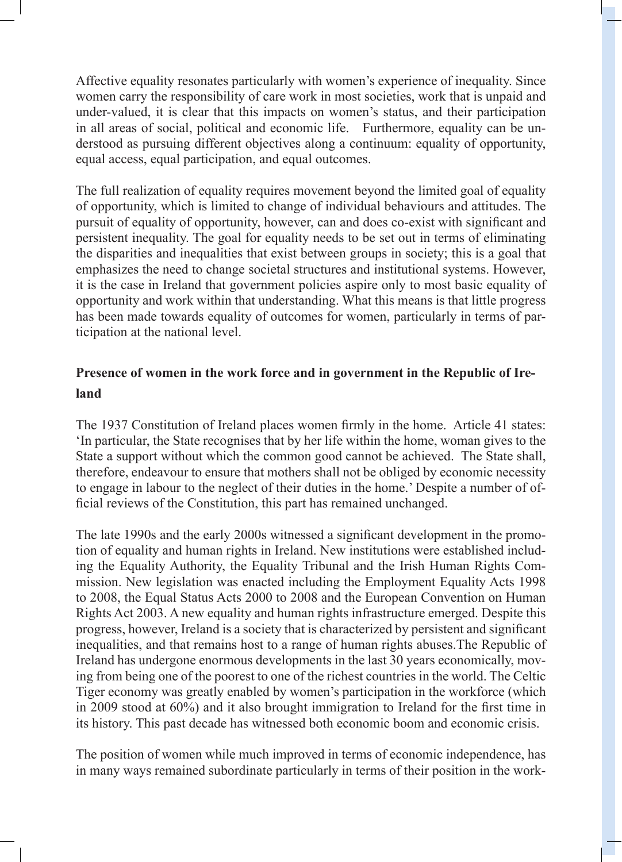Affective equality resonates particularly with women's experience of inequality. Since women carry the responsibility of care work in most societies, work that is unpaid and under-valued, it is clear that this impacts on women's status, and their participation in all areas of social, political and economic life. Furthermore, equality can be understood as pursuing different objectives along a continuum: equality of opportunity, equal access, equal participation, and equal outcomes.

The full realization of equality requires movement beyond the limited goal of equality of opportunity, which is limited to change of individual behaviours and attitudes. The pursuit of equality of opportunity, however, can and does co-exist with significant and persistent inequality. The goal for equality needs to be set out in terms of eliminating the disparities and inequalities that exist between groups in society; this is a goal that emphasizes the need to change societal structures and institutional systems. However, it is the case in Ireland that government policies aspire only to most basic equality of opportunity and work within that understanding. What this means is that little progress has been made towards equality of outcomes for women, particularly in terms of participation at the national level.

## **Presence of women in the work force and in government in the Republic of Ireland**

The 1937 Constitution of Ireland places women firmly in the home. Article 41 states: 'In particular, the State recognises that by her life within the home, woman gives to the State a support without which the common good cannot be achieved. The State shall, therefore, endeavour to ensure that mothers shall not be obliged by economic necessity to engage in labour to the neglect of their duties in the home.' Despite a number of official reviews of the Constitution, this part has remained unchanged.

The late 1990s and the early 2000s witnessed a significant development in the promotion of equality and human rights in Ireland. New institutions were established including the Equality Authority, the Equality Tribunal and the Irish Human Rights Commission. New legislation was enacted including the Employment Equality Acts 1998 to 2008, the Equal Status Acts 2000 to 2008 and the European Convention on Human Rights Act 2003. A new equality and human rights infrastructure emerged. Despite this progress, however, Ireland is a society that is characterized by persistent and significant inequalities, and that remains host to a range of human rights abuses.The Republic of Ireland has undergone enormous developments in the last 30 years economically, moving from being one of the poorest to one of the richest countries in the world. The Celtic Tiger economy was greatly enabled by women's participation in the workforce (which in 2009 stood at 60%) and it also brought immigration to Ireland for the first time in its history. This past decade has witnessed both economic boom and economic crisis.

The position of women while much improved in terms of economic independence, has in many ways remained subordinate particularly in terms of their position in the work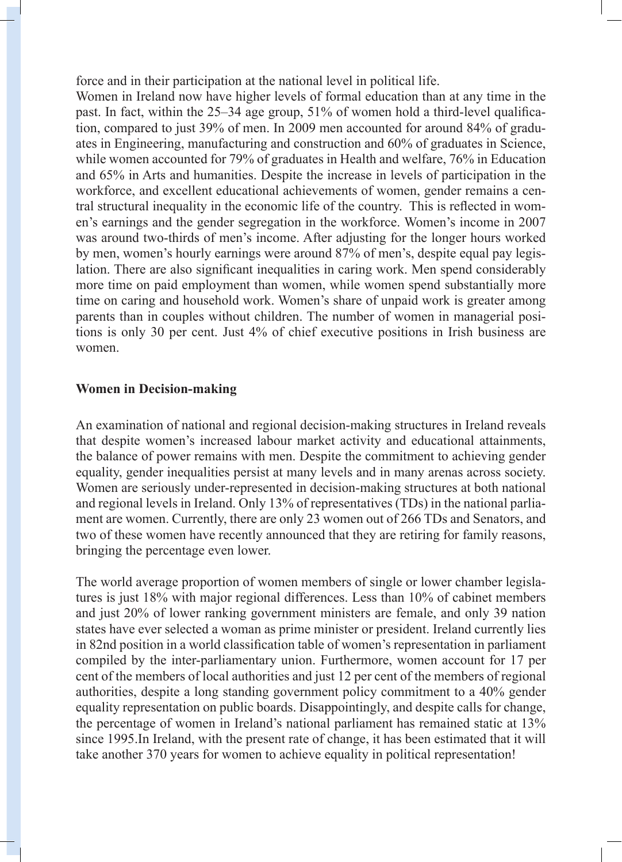force and in their participation at the national level in political life.

Women in Ireland now have higher levels of formal education than at any time in the past. In fact, within the 25–34 age group, 51% of women hold a third-level qualification, compared to just 39% of men. In 2009 men accounted for around 84% of graduates in Engineering, manufacturing and construction and 60% of graduates in Science, while women accounted for 79% of graduates in Health and welfare, 76% in Education and 65% in Arts and humanities. Despite the increase in levels of participation in the workforce, and excellent educational achievements of women, gender remains a central structural inequality in the economic life of the country. This is reflected in women's earnings and the gender segregation in the workforce. Women's income in 2007 was around two-thirds of men's income. After adjusting for the longer hours worked by men, women's hourly earnings were around 87% of men's, despite equal pay legislation. There are also significant inequalities in caring work. Men spend considerably more time on paid employment than women, while women spend substantially more time on caring and household work. Women's share of unpaid work is greater among parents than in couples without children. The number of women in managerial positions is only 30 per cent. Just 4% of chief executive positions in Irish business are women.

#### **Women in Decision-making**

An examination of national and regional decision-making structures in Ireland reveals that despite women's increased labour market activity and educational attainments, the balance of power remains with men. Despite the commitment to achieving gender equality, gender inequalities persist at many levels and in many arenas across society. Women are seriously under-represented in decision-making structures at both national and regional levels in Ireland. Only 13% of representatives (TDs) in the national parliament are women. Currently, there are only 23 women out of 266 TDs and Senators, and two of these women have recently announced that they are retiring for family reasons, bringing the percentage even lower.

The world average proportion of women members of single or lower chamber legislatures is just 18% with major regional differences. Less than 10% of cabinet members and just 20% of lower ranking government ministers are female, and only 39 nation states have ever selected a woman as prime minister or president. Ireland currently lies in 82nd position in a world classification table of women's representation in parliament compiled by the inter-parliamentary union. Furthermore, women account for 17 per cent of the members of local authorities and just 12 per cent of the members of regional authorities, despite a long standing government policy commitment to a 40% gender equality representation on public boards. Disappointingly, and despite calls for change, the percentage of women in Ireland's national parliament has remained static at 13% since 1995.In Ireland, with the present rate of change, it has been estimated that it will take another 370 years for women to achieve equality in political representation!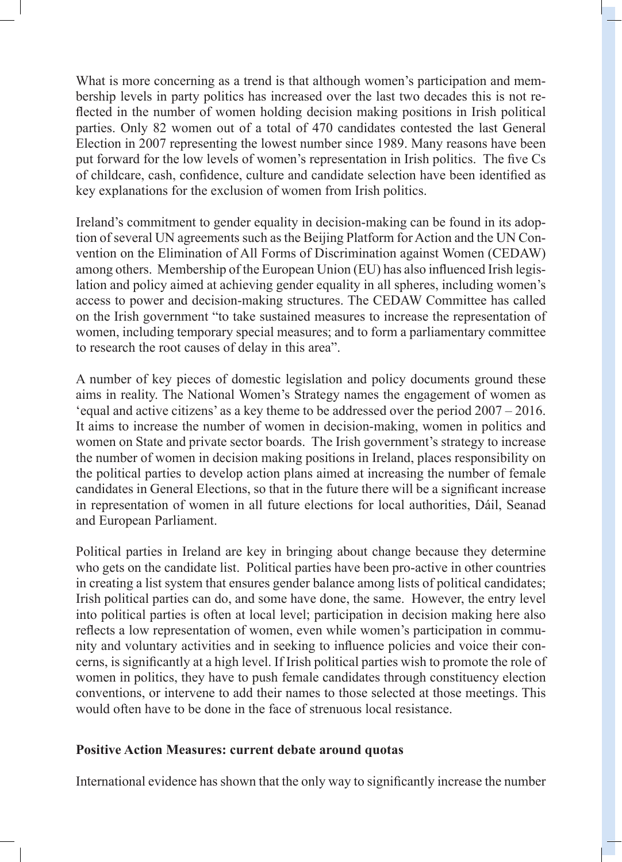What is more concerning as a trend is that although women's participation and membership levels in party politics has increased over the last two decades this is not reflected in the number of women holding decision making positions in Irish political parties. Only 82 women out of a total of 470 candidates contested the last General Election in 2007 representing the lowest number since 1989. Many reasons have been put forward for the low levels of women's representation in Irish politics. The five Cs of childcare, cash, confidence, culture and candidate selection have been identified as key explanations for the exclusion of women from Irish politics.

Ireland's commitment to gender equality in decision-making can be found in its adoption of several UN agreements such as the Beijing Platform for Action and the UN Convention on the Elimination of All Forms of Discrimination against Women (CEDAW) among others. Membership of the European Union (EU) has also influenced Irish legislation and policy aimed at achieving gender equality in all spheres, including women's access to power and decision-making structures. The CEDAW Committee has called on the Irish government "to take sustained measures to increase the representation of women, including temporary special measures; and to form a parliamentary committee to research the root causes of delay in this area".

A number of key pieces of domestic legislation and policy documents ground these aims in reality. The National Women's Strategy names the engagement of women as 'equal and active citizens' as a key theme to be addressed over the period 2007 – 2016. It aims to increase the number of women in decision-making, women in politics and women on State and private sector boards. The Irish government's strategy to increase the number of women in decision making positions in Ireland, places responsibility on the political parties to develop action plans aimed at increasing the number of female candidates in General Elections, so that in the future there will be a significant increase in representation of women in all future elections for local authorities, Dáil, Seanad and European Parliament.

Political parties in Ireland are key in bringing about change because they determine who gets on the candidate list. Political parties have been pro-active in other countries in creating a list system that ensures gender balance among lists of political candidates; Irish political parties can do, and some have done, the same. However, the entry level into political parties is often at local level; participation in decision making here also reflects a low representation of women, even while women's participation in community and voluntary activities and in seeking to influence policies and voice their concerns, is significantly at a high level. If Irish political parties wish to promote the role of women in politics, they have to push female candidates through constituency election conventions, or intervene to add their names to those selected at those meetings. This would often have to be done in the face of strenuous local resistance.

#### **Positive Action Measures: current debate around quotas**

International evidence has shown that the only way to significantly increase the number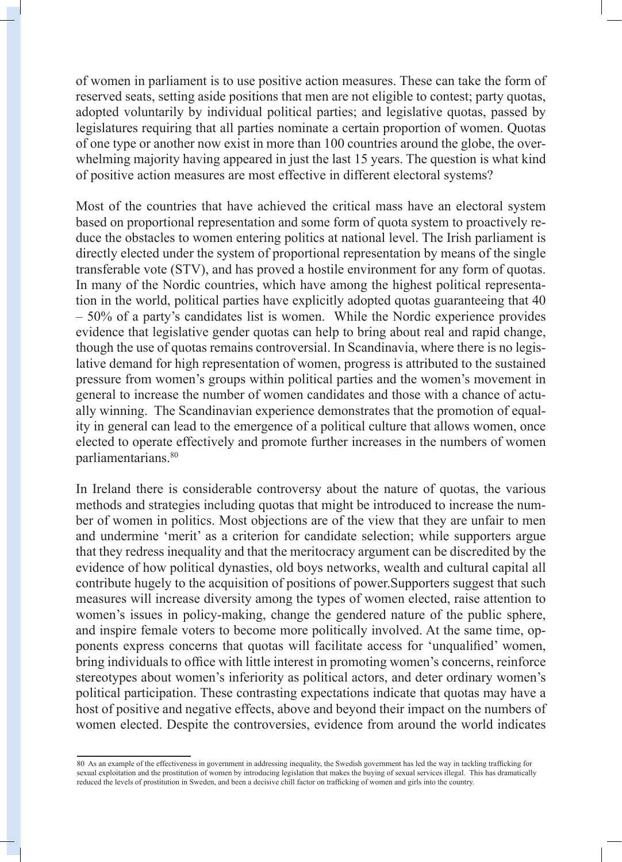of women in parliament is to use positive action measures. These can take the form of reserved seats, setting aside positions that men are not eligible to contest; party quotas, adopted voluntarily by individual political parties; and legislative quotas, passed by legislatures requiring that all parties nominate a certain proportion of women. Quotas of one type or another now exist in more than 100 countries around the globe, the overwhelming majority having appeared in just the last 15 years. The question is what kind of positive action measures are most effective in different electoral systems?

Most of the countries that have achieved the critical mass have an electoral system based on proportional representation and some form of quota system to proactively reduce the obstacles to women entering politics at national level. The Irish parliament is directly elected under the system of proportional representation by means of the single transferable vote (STV), and has proved a hostile environment for any form of quotas. In many of the Nordic countries, which have among the highest political representation in the world, political parties have explicitly adopted quotas guaranteeing that 40 – 50% of a party's candidates list is women. While the Nordic experience provides evidence that legislative gender quotas can help to bring about real and rapid change, though the use of quotas remains controversial. In Scandinavia, where there is no legislative demand for high representation of women, progress is attributed to the sustained pressure from women's groups within political parties and the women's movement in general to increase the number of women candidates and those with a chance of actually winning. The Scandinavian experience demonstrates that the promotion of equality in general can lead to the emergence of a political culture that allows women, once elected to operate effectively and promote further increases in the numbers of women parliamentarians.80

In Ireland there is considerable controversy about the nature of quotas, the various methods and strategies including quotas that might be introduced to increase the number of women in politics. Most objections are of the view that they are unfair to men and undermine 'merit' as a criterion for candidate selection; while supporters argue that they redress inequality and that the meritocracy argument can be discredited by the evidence of how political dynasties, old boys networks, wealth and cultural capital all contribute hugely to the acquisition of positions of power.Supporters suggest that such measures will increase diversity among the types of women elected, raise attention to women's issues in policy-making, change the gendered nature of the public sphere, and inspire female voters to become more politically involved. At the same time, opponents express concerns that quotas will facilitate access for 'unqualified' women, bring individuals to office with little interest in promoting women's concerns, reinforce stereotypes about women's inferiority as political actors, and deter ordinary women's political participation. These contrasting expectations indicate that quotas may have a host of positive and negative effects, above and beyond their impact on the numbers of women elected. Despite the controversies, evidence from around the world indicates

<sup>80</sup> As an example of the effectiveness in government in addressing inequality, the Swedish government has led the way in tackling trafficking for sexual exploitation and the prostitution of women by introducing legislation that makes the buying of sexual services illegal. This has dramatically reduced the levels of prostitution in Sweden, and been a decisive chill factor on trafficking of women and girls into the country.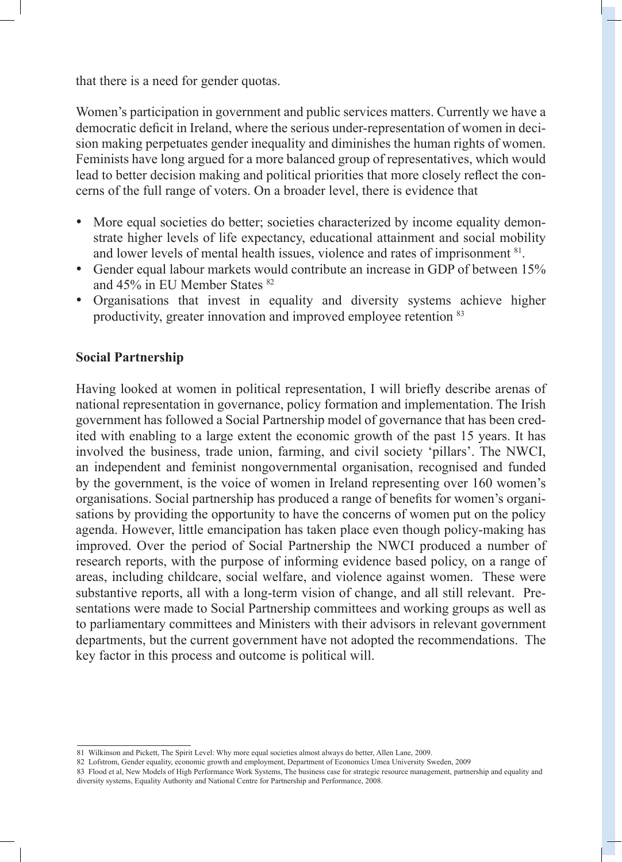that there is a need for gender quotas.

Women's participation in government and public services matters. Currently we have a democratic deficit in Ireland, where the serious under-representation of women in decision making perpetuates gender inequality and diminishes the human rights of women. Feminists have long argued for a more balanced group of representatives, which would lead to better decision making and political priorities that more closely reflect the concerns of the full range of voters. On a broader level, there is evidence that

- More equal societies do better; societies characterized by income equality demonstrate higher levels of life expectancy, educational attainment and social mobility and lower levels of mental health issues, violence and rates of imprisonment 81.
- Gender equal labour markets would contribute an increase in GDP of between 15% and 45% in EU Member States <sup>82</sup>
- Organisations that invest in equality and diversity systems achieve higher productivity, greater innovation and improved employee retention 83

#### **Social Partnership**

Having looked at women in political representation, I will briefly describe arenas of national representation in governance, policy formation and implementation. The Irish government has followed a Social Partnership model of governance that has been credited with enabling to a large extent the economic growth of the past 15 years. It has involved the business, trade union, farming, and civil society 'pillars'. The NWCI, an independent and feminist nongovernmental organisation, recognised and funded by the government, is the voice of women in Ireland representing over 160 women's organisations. Social partnership has produced a range of benefits for women's organisations by providing the opportunity to have the concerns of women put on the policy agenda. However, little emancipation has taken place even though policy-making has improved. Over the period of Social Partnership the NWCI produced a number of research reports, with the purpose of informing evidence based policy, on a range of areas, including childcare, social welfare, and violence against women. These were substantive reports, all with a long-term vision of change, and all still relevant. Presentations were made to Social Partnership committees and working groups as well as to parliamentary committees and Ministers with their advisors in relevant government departments, but the current government have not adopted the recommendations. The key factor in this process and outcome is political will.

<sup>81</sup> Wilkinson and Pickett, The Spirit Level: Why more equal societies almost always do better, Allen Lane, 2009.

<sup>82</sup> Lofstrom, Gender equality, economic growth and employment, Department of Economics Umea University Sweden, 2009

<sup>83</sup> Flood et al, New Models of High Performance Work Systems, The business case for strategic resource management, partnership and equality and diversity systems, Equality Authority and National Centre for Partnership and Performance, 2008.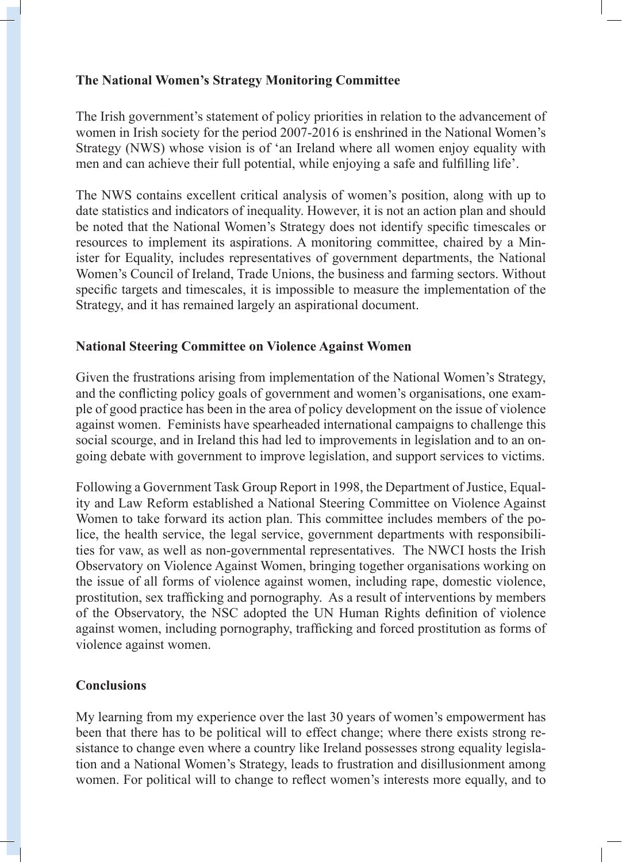## **The National Women's Strategy Monitoring Committee**

The Irish government's statement of policy priorities in relation to the advancement of women in Irish society for the period 2007-2016 is enshrined in the National Women's Strategy (NWS) whose vision is of 'an Ireland where all women enjoy equality with men and can achieve their full potential, while enjoying a safe and fulfilling life'.

The NWS contains excellent critical analysis of women's position, along with up to date statistics and indicators of inequality. However, it is not an action plan and should be noted that the National Women's Strategy does not identify specific timescales or resources to implement its aspirations. A monitoring committee, chaired by a Minister for Equality, includes representatives of government departments, the National Women's Council of Ireland, Trade Unions, the business and farming sectors. Without specific targets and timescales, it is impossible to measure the implementation of the Strategy, and it has remained largely an aspirational document.

## **National Steering Committee on Violence Against Women**

Given the frustrations arising from implementation of the National Women's Strategy, and the conflicting policy goals of government and women's organisations, one example of good practice has been in the area of policy development on the issue of violence against women. Feminists have spearheaded international campaigns to challenge this social scourge, and in Ireland this had led to improvements in legislation and to an ongoing debate with government to improve legislation, and support services to victims.

Following a Government Task Group Report in 1998, the Department of Justice, Equality and Law Reform established a National Steering Committee on Violence Against Women to take forward its action plan. This committee includes members of the police, the health service, the legal service, government departments with responsibilities for vaw, as well as non-governmental representatives. The NWCI hosts the Irish Observatory on Violence Against Women, bringing together organisations working on the issue of all forms of violence against women, including rape, domestic violence, prostitution, sex trafficking and pornography. As a result of interventions by members of the Observatory, the NSC adopted the UN Human Rights definition of violence against women, including pornography, trafficking and forced prostitution as forms of violence against women.

## **Conclusions**

My learning from my experience over the last 30 years of women's empowerment has been that there has to be political will to effect change; where there exists strong resistance to change even where a country like Ireland possesses strong equality legislation and a National Women's Strategy, leads to frustration and disillusionment among women. For political will to change to reflect women's interests more equally, and to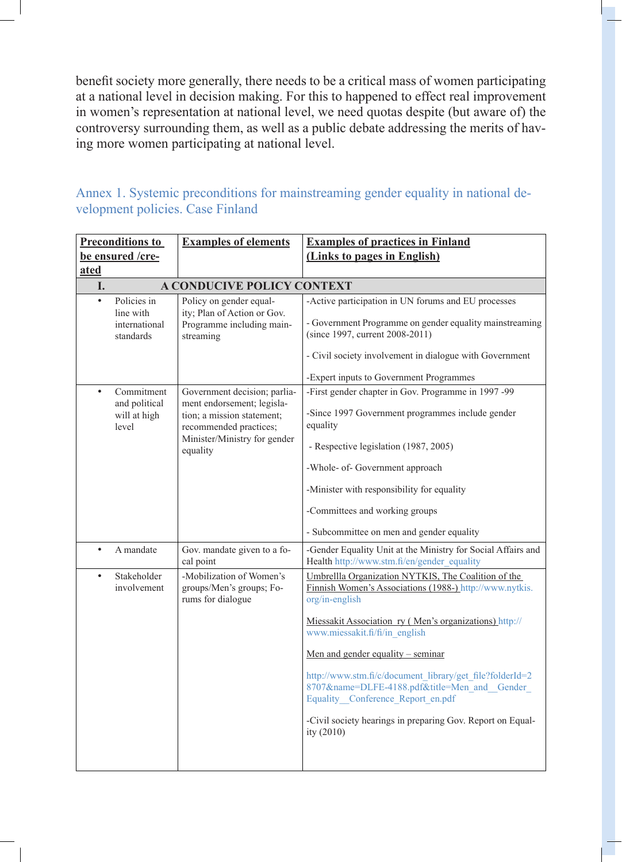benefit society more generally, there needs to be a critical mass of women participating at a national level in decision making. For this to happened to effect real improvement in women's representation at national level, we need quotas despite (but aware of) the controversy surrounding them, as well as a public debate addressing the merits of having more women participating at national level.

## Annex 1. Systemic preconditions for mainstreaming gender equality in national development policies. Case Finland

| <b>Preconditions to</b> |                                                        | <b>Examples of elements</b>                                                                                                                        | <b>Examples of practices in Finland</b>                                                                                                                                                                      |
|-------------------------|--------------------------------------------------------|----------------------------------------------------------------------------------------------------------------------------------------------------|--------------------------------------------------------------------------------------------------------------------------------------------------------------------------------------------------------------|
| be ensured /cre-        |                                                        |                                                                                                                                                    | (Links to pages in English)                                                                                                                                                                                  |
| <b>ated</b>             |                                                        |                                                                                                                                                    |                                                                                                                                                                                                              |
| I.                      |                                                        | <b>A CONDUCIVE POLICY CONTEXT</b>                                                                                                                  |                                                                                                                                                                                                              |
| $\bullet$               | Policies in<br>line with<br>international<br>standards | Policy on gender equal-<br>ity; Plan of Action or Gov.<br>Programme including main-<br>streaming                                                   | -Active participation in UN forums and EU processes<br>- Government Programme on gender equality mainstreaming<br>(since 1997, current 2008-2011)<br>- Civil society involvement in dialogue with Government |
|                         |                                                        |                                                                                                                                                    | -Expert inputs to Government Programmes                                                                                                                                                                      |
| $\bullet$               | Commitment<br>and political<br>will at high<br>level   | Government decision; parlia-<br>ment endorsement; legisla-<br>tion; a mission statement;<br>recommended practices;<br>Minister/Ministry for gender | -First gender chapter in Gov. Programme in 1997-99<br>-Since 1997 Government programmes include gender<br>equality<br>- Respective legislation (1987, 2005)                                                  |
|                         |                                                        | equality                                                                                                                                           |                                                                                                                                                                                                              |
|                         |                                                        |                                                                                                                                                    | -Whole- of- Government approach                                                                                                                                                                              |
|                         |                                                        |                                                                                                                                                    | -Minister with responsibility for equality                                                                                                                                                                   |
|                         |                                                        |                                                                                                                                                    | -Committees and working groups                                                                                                                                                                               |
|                         |                                                        |                                                                                                                                                    | - Subcommittee on men and gender equality                                                                                                                                                                    |
| $\bullet$               | A mandate                                              | Gov. mandate given to a fo-<br>cal point                                                                                                           | -Gender Equality Unit at the Ministry for Social Affairs and<br>Health http://www.stm.fi/en/gender_equality                                                                                                  |
| $\bullet$               | Stakeholder<br>involvement                             | -Mobilization of Women's<br>groups/Men's groups; Fo-<br>rums for dialogue                                                                          | Umbrellla Organization NYTKIS, The Coalition of the<br>Finnish Women's Associations (1988-) http://www.nytkis.<br>org/in-english                                                                             |
|                         |                                                        |                                                                                                                                                    | Miessakit Association ry (Men's organizations) http://<br>www.miessakit.fi/fi/in english                                                                                                                     |
|                         |                                                        |                                                                                                                                                    | Men and gender equality $-$ seminar                                                                                                                                                                          |
|                         |                                                        |                                                                                                                                                    | http://www.stm.fi/c/document_library/get_file?folderId=2<br>8707&name=DLFE-4188.pdf&title=Men and Gender<br>Equality Conference Report en.pdf                                                                |
|                         |                                                        |                                                                                                                                                    | -Civil society hearings in preparing Gov. Report on Equal-<br>ity (2010)                                                                                                                                     |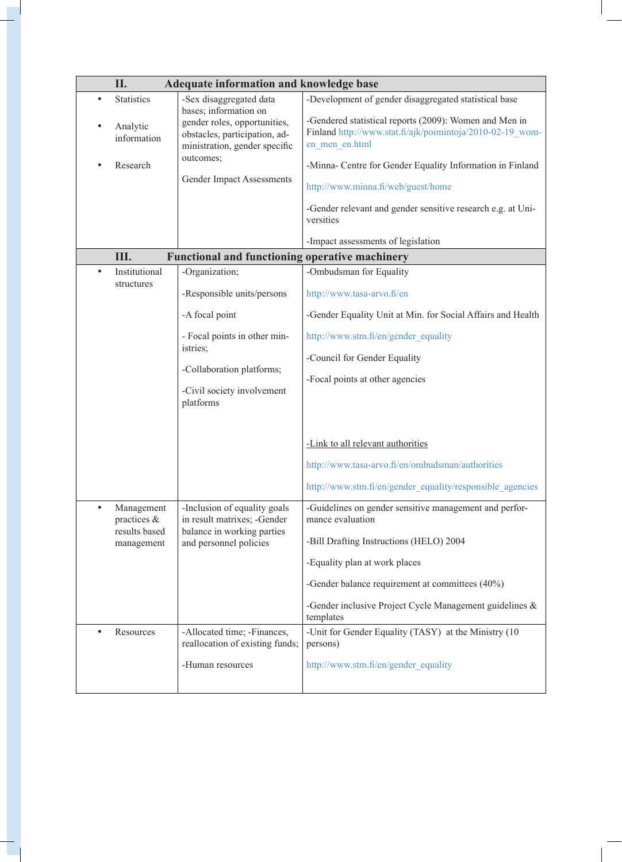|  | II.<br>Adequate information and knowledge base              |                                                                                                                         |                                                                                                                                                                                                                   |  |  |  |
|--|-------------------------------------------------------------|-------------------------------------------------------------------------------------------------------------------------|-------------------------------------------------------------------------------------------------------------------------------------------------------------------------------------------------------------------|--|--|--|
|  | <b>Statistics</b>                                           | -Sex disaggregated data                                                                                                 | -Development of gender disaggregated statistical base                                                                                                                                                             |  |  |  |
|  | Analytic<br>information                                     | bases; information on<br>gender roles, opportunities,<br>obstacles, participation, ad-<br>ministration, gender specific | -Gendered statistical reports (2009): Women and Men in<br>Finland http://www.stat.fi/ajk/poimintoja/2010-02-19 wom-<br>en men en.html                                                                             |  |  |  |
|  | Research                                                    | outcomes;<br><b>Gender Impact Assessments</b>                                                                           | -Minna- Centre for Gender Equality Information in Finland<br>http://www.minna.fi/web/guest/home<br>-Gender relevant and gender sensitive research e.g. at Uni-<br>versities<br>-Impact assessments of legislation |  |  |  |
|  | III.                                                        | <b>Functional and functioning operative machinery</b>                                                                   |                                                                                                                                                                                                                   |  |  |  |
|  | Institutional                                               | -Organization;                                                                                                          | -Ombudsman for Equality                                                                                                                                                                                           |  |  |  |
|  | structures                                                  | -Responsible units/persons                                                                                              | http://www.tasa-arvo.fi/en                                                                                                                                                                                        |  |  |  |
|  |                                                             | -A focal point                                                                                                          | -Gender Equality Unit at Min. for Social Affairs and Health                                                                                                                                                       |  |  |  |
|  |                                                             | - Focal points in other min-<br>istries;                                                                                | http://www.stm.fi/en/gender equality<br>-Council for Gender Equality                                                                                                                                              |  |  |  |
|  |                                                             | -Collaboration platforms;                                                                                               |                                                                                                                                                                                                                   |  |  |  |
|  |                                                             | -Civil society involvement<br>platforms                                                                                 | -Focal points at other agencies                                                                                                                                                                                   |  |  |  |
|  |                                                             |                                                                                                                         | -Link to all relevant authorities                                                                                                                                                                                 |  |  |  |
|  |                                                             |                                                                                                                         | http://www.tasa-arvo.fi/en/ombudsman/authorities                                                                                                                                                                  |  |  |  |
|  |                                                             |                                                                                                                         | http://www.stm.fi/en/gender_equality/responsible_agencies                                                                                                                                                         |  |  |  |
|  | Management<br>practices $\&$<br>results based<br>management | -Inclusion of equality goals<br>in result matrixes; -Gender<br>balance in working parties<br>and personnel policies     | -Guidelines on gender sensitive management and perfor-<br>mance evaluation                                                                                                                                        |  |  |  |
|  |                                                             |                                                                                                                         | -Bill Drafting Instructions (HELO) 2004                                                                                                                                                                           |  |  |  |
|  |                                                             |                                                                                                                         | -Equality plan at work places                                                                                                                                                                                     |  |  |  |
|  |                                                             |                                                                                                                         | -Gender balance requirement at committees (40%)                                                                                                                                                                   |  |  |  |
|  |                                                             |                                                                                                                         | -Gender inclusive Project Cycle Management guidelines &<br>templates                                                                                                                                              |  |  |  |
|  | Resources                                                   | -Allocated time; -Finances,<br>reallocation of existing funds;                                                          | -Unit for Gender Equality (TASY) at the Ministry (10<br>persons)                                                                                                                                                  |  |  |  |
|  |                                                             | -Human resources                                                                                                        | http://www.stm.fi/en/gender equality                                                                                                                                                                              |  |  |  |
|  |                                                             |                                                                                                                         |                                                                                                                                                                                                                   |  |  |  |